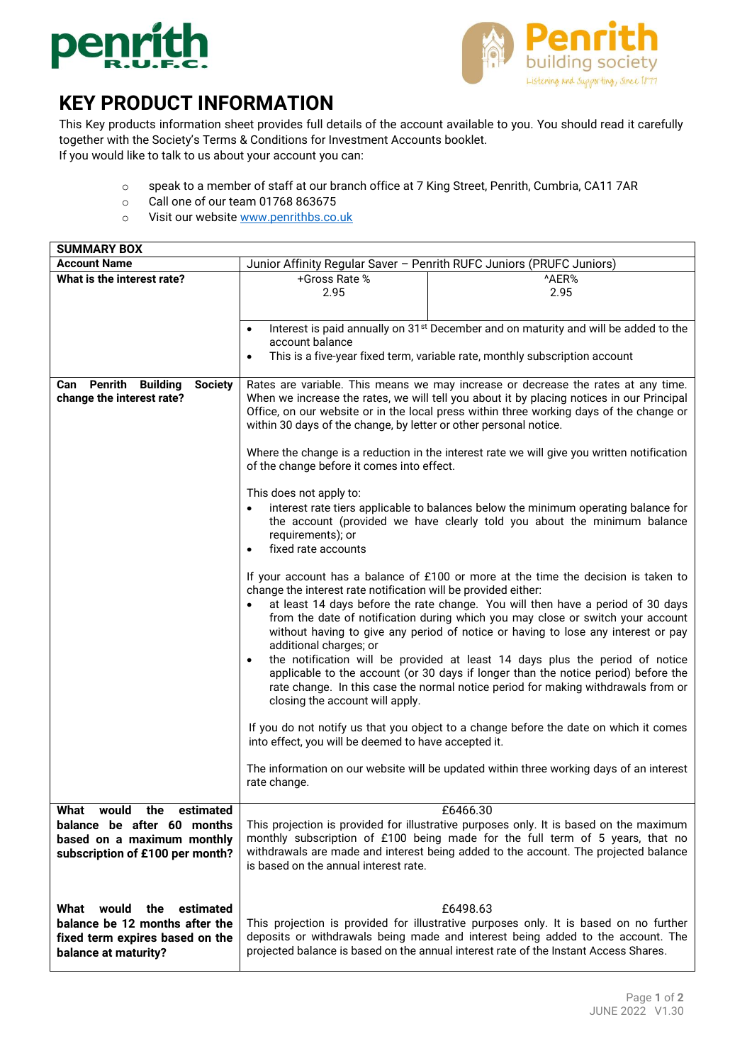



## **KEY PRODUCT INFORMATION**

This Key products information sheet provides full details of the account available to you. You should read it carefully together with the Society's Terms & Conditions for Investment Accounts booklet.

If you would like to talk to us about your account you can:

- o speak to a member of staff at our branch office at 7 King Street, Penrith, Cumbria, CA11 7AR
- o Call one of our team 01768 863675
- o Visit our website [www.penrithbs.co.uk](http://www.penrithbs.co.uk/)

| <b>SUMMARY BOX</b>                                                                                                            |                                                                                                                                                                                                                                                                                                                                                                                                                                                                                                                                                                                                                                                                                                                                                      |                                                                                                                                                                                                                                                                              |
|-------------------------------------------------------------------------------------------------------------------------------|------------------------------------------------------------------------------------------------------------------------------------------------------------------------------------------------------------------------------------------------------------------------------------------------------------------------------------------------------------------------------------------------------------------------------------------------------------------------------------------------------------------------------------------------------------------------------------------------------------------------------------------------------------------------------------------------------------------------------------------------------|------------------------------------------------------------------------------------------------------------------------------------------------------------------------------------------------------------------------------------------------------------------------------|
| <b>Account Name</b>                                                                                                           | Junior Affinity Regular Saver - Penrith RUFC Juniors (PRUFC Juniors)                                                                                                                                                                                                                                                                                                                                                                                                                                                                                                                                                                                                                                                                                 |                                                                                                                                                                                                                                                                              |
| What is the interest rate?                                                                                                    | +Gross Rate %                                                                                                                                                                                                                                                                                                                                                                                                                                                                                                                                                                                                                                                                                                                                        | ^AER%                                                                                                                                                                                                                                                                        |
|                                                                                                                               | 2.95                                                                                                                                                                                                                                                                                                                                                                                                                                                                                                                                                                                                                                                                                                                                                 | 2.95                                                                                                                                                                                                                                                                         |
|                                                                                                                               |                                                                                                                                                                                                                                                                                                                                                                                                                                                                                                                                                                                                                                                                                                                                                      |                                                                                                                                                                                                                                                                              |
|                                                                                                                               |                                                                                                                                                                                                                                                                                                                                                                                                                                                                                                                                                                                                                                                                                                                                                      | Interest is paid annually on 31 <sup>st</sup> December and on maturity and will be added to the                                                                                                                                                                              |
|                                                                                                                               | account balance                                                                                                                                                                                                                                                                                                                                                                                                                                                                                                                                                                                                                                                                                                                                      |                                                                                                                                                                                                                                                                              |
|                                                                                                                               | This is a five-year fixed term, variable rate, monthly subscription account<br>$\bullet$                                                                                                                                                                                                                                                                                                                                                                                                                                                                                                                                                                                                                                                             |                                                                                                                                                                                                                                                                              |
|                                                                                                                               |                                                                                                                                                                                                                                                                                                                                                                                                                                                                                                                                                                                                                                                                                                                                                      |                                                                                                                                                                                                                                                                              |
| Penrith<br><b>Building</b><br><b>Society</b><br>Can<br>change the interest rate?                                              | Rates are variable. This means we may increase or decrease the rates at any time.<br>When we increase the rates, we will tell you about it by placing notices in our Principal<br>Office, on our website or in the local press within three working days of the change or<br>within 30 days of the change, by letter or other personal notice.<br>Where the change is a reduction in the interest rate we will give you written notification<br>of the change before it comes into effect.                                                                                                                                                                                                                                                           |                                                                                                                                                                                                                                                                              |
|                                                                                                                               |                                                                                                                                                                                                                                                                                                                                                                                                                                                                                                                                                                                                                                                                                                                                                      |                                                                                                                                                                                                                                                                              |
|                                                                                                                               | This does not apply to:<br>interest rate tiers applicable to balances below the minimum operating balance for<br>the account (provided we have clearly told you about the minimum balance<br>requirements); or<br>fixed rate accounts<br>$\bullet$                                                                                                                                                                                                                                                                                                                                                                                                                                                                                                   |                                                                                                                                                                                                                                                                              |
|                                                                                                                               | If your account has a balance of £100 or more at the time the decision is taken to<br>change the interest rate notification will be provided either:<br>at least 14 days before the rate change. You will then have a period of 30 days<br>from the date of notification during which you may close or switch your account<br>without having to give any period of notice or having to lose any interest or pay<br>additional charges; or<br>the notification will be provided at least 14 days plus the period of notice<br>$\bullet$<br>applicable to the account (or 30 days if longer than the notice period) before the<br>rate change. In this case the normal notice period for making withdrawals from or<br>closing the account will apply. |                                                                                                                                                                                                                                                                              |
|                                                                                                                               | into effect, you will be deemed to have accepted it.                                                                                                                                                                                                                                                                                                                                                                                                                                                                                                                                                                                                                                                                                                 | If you do not notify us that you object to a change before the date on which it comes                                                                                                                                                                                        |
|                                                                                                                               | rate change.                                                                                                                                                                                                                                                                                                                                                                                                                                                                                                                                                                                                                                                                                                                                         | The information on our website will be updated within three working days of an interest                                                                                                                                                                                      |
| What<br>would<br>the estimated<br>balance be after 60 months<br>based on a maximum monthly<br>subscription of £100 per month? | is based on the annual interest rate.                                                                                                                                                                                                                                                                                                                                                                                                                                                                                                                                                                                                                                                                                                                | £6466.30<br>This projection is provided for illustrative purposes only. It is based on the maximum<br>monthly subscription of £100 being made for the full term of 5 years, that no<br>withdrawals are made and interest being added to the account. The projected balance   |
| What would<br>the<br>estimated<br>balance be 12 months after the<br>fixed term expires based on the<br>balance at maturity?   |                                                                                                                                                                                                                                                                                                                                                                                                                                                                                                                                                                                                                                                                                                                                                      | £6498.63<br>This projection is provided for illustrative purposes only. It is based on no further<br>deposits or withdrawals being made and interest being added to the account. The<br>projected balance is based on the annual interest rate of the Instant Access Shares. |